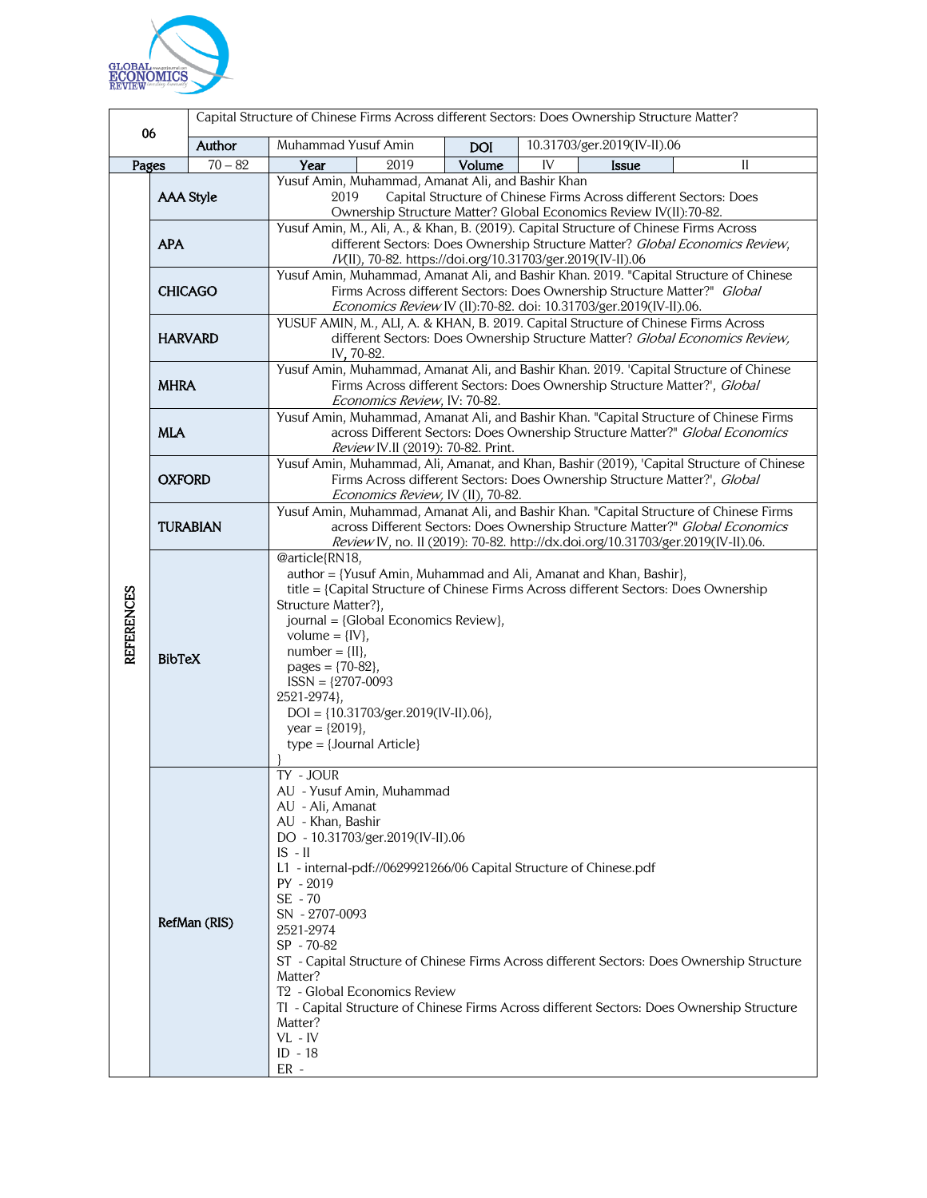

| 06<br>Author      |                                                                                                  |           | Capital Structure of Chinese Firms Across different Sectors: Does Ownership Structure Matter?                                                                                                                                                                                                                                                                                                                                                             |            |                                                                                                                                                                                          |  |
|-------------------|--------------------------------------------------------------------------------------------------|-----------|-----------------------------------------------------------------------------------------------------------------------------------------------------------------------------------------------------------------------------------------------------------------------------------------------------------------------------------------------------------------------------------------------------------------------------------------------------------|------------|------------------------------------------------------------------------------------------------------------------------------------------------------------------------------------------|--|
|                   |                                                                                                  |           | Muhammad Yusuf Amin                                                                                                                                                                                                                                                                                                                                                                                                                                       | <b>DOI</b> | 10.31703/ger.2019(IV-II).06                                                                                                                                                              |  |
| Pages             |                                                                                                  | $70 - 82$ | Year<br>2019                                                                                                                                                                                                                                                                                                                                                                                                                                              | Volume     | IV<br>Issue<br>II                                                                                                                                                                        |  |
| <b>REFERENCES</b> | <b>AAA Style</b>                                                                                 |           | Yusuf Amin, Muhammad, Amanat Ali, and Bashir Khan<br>Capital Structure of Chinese Firms Across different Sectors: Does<br>2019<br>Ownership Structure Matter? Global Economics Review IV(II):70-82.                                                                                                                                                                                                                                                       |            |                                                                                                                                                                                          |  |
|                   | <b>APA</b>                                                                                       |           | Yusuf Amin, M., Ali, A., & Khan, B. (2019). Capital Structure of Chinese Firms Across<br>different Sectors: Does Ownership Structure Matter? Global Economics Review,                                                                                                                                                                                                                                                                                     |            |                                                                                                                                                                                          |  |
|                   | <b>CHICAGO</b>                                                                                   |           | /V(II), 70-82. https://doi.org/10.31703/ger.2019(IV-II).06<br>Yusuf Amin, Muhammad, Amanat Ali, and Bashir Khan. 2019. "Capital Structure of Chinese<br>Firms Across different Sectors: Does Ownership Structure Matter?" Global<br>Economics Review IV (II):70-82. doi: 10.31703/ger.2019(IV-II).06.                                                                                                                                                     |            |                                                                                                                                                                                          |  |
|                   | <b>HARVARD</b>                                                                                   |           | YUSUF AMIN, M., ALI, A. & KHAN, B. 2019. Capital Structure of Chinese Firms Across<br>different Sectors: Does Ownership Structure Matter? Global Economics Review,<br>IV, 70-82.                                                                                                                                                                                                                                                                          |            |                                                                                                                                                                                          |  |
|                   | <b>MHRA</b>                                                                                      |           | Yusuf Amin, Muhammad, Amanat Ali, and Bashir Khan. 2019. 'Capital Structure of Chinese<br>Firms Across different Sectors: Does Ownership Structure Matter?', Global<br>Economics Review, IV: 70-82.                                                                                                                                                                                                                                                       |            |                                                                                                                                                                                          |  |
|                   | <b>MLA</b>                                                                                       |           | Yusuf Amin, Muhammad, Amanat Ali, and Bashir Khan. "Capital Structure of Chinese Firms<br>across Different Sectors: Does Ownership Structure Matter?" Global Economics<br>Review IV.II (2019): 70-82. Print.                                                                                                                                                                                                                                              |            |                                                                                                                                                                                          |  |
|                   | <b>OXFORD</b>                                                                                    |           | Yusuf Amin, Muhammad, Ali, Amanat, and Khan, Bashir (2019), 'Capital Structure of Chinese<br>Firms Across different Sectors: Does Ownership Structure Matter?', Global<br>Economics Review, IV (II), 70-82.                                                                                                                                                                                                                                               |            |                                                                                                                                                                                          |  |
|                   | <b>TURABIAN</b>                                                                                  |           | Yusuf Amin, Muhammad, Amanat Ali, and Bashir Khan. "Capital Structure of Chinese Firms<br>across Different Sectors: Does Ownership Structure Matter?" Global Economics<br>Review IV, no. II (2019): 70-82. http://dx.doi.org/10.31703/ger.2019(IV-II).06.                                                                                                                                                                                                 |            |                                                                                                                                                                                          |  |
|                   | <b>BibTeX</b>                                                                                    |           | @article{RN18,<br>author = {Yusuf Amin, Muhammad and Ali, Amanat and Khan, Bashir},<br>title = {Capital Structure of Chinese Firms Across different Sectors: Does Ownership<br>Structure Matter?},<br>journal = {Global Economics Review},<br>volume = $\{IV\},\$<br>$number = \{II\},$<br>pages = $\{70-82\}$ ,<br>$ISSN = {2707-0093}$<br>2521-2974},<br>$DOI = \{10.31703/ger.2019(IV-II).06\},\$<br>year = $\{2019\}$ ,<br>$type = {Journal Article}$ |            |                                                                                                                                                                                          |  |
|                   | $IS - II$<br>SE - 70<br>RefMan (RIS)<br>Matter?<br>Matter?<br>$VL$ - $IV$<br>$ID - 18$<br>$ER -$ |           | TY - JOUR<br>AU - Yusuf Amin, Muhammad<br>AU - Ali, Amanat<br>AU - Khan, Bashir<br>DO - 10.31703/ger.2019(IV-II).06<br>L1 - internal-pdf://0629921266/06 Capital Structure of Chinese.pdf<br>PY - 2019<br>SN - 2707-0093<br>2521-2974<br>SP - 70-82<br>T <sub>2</sub> - Global Economics Review                                                                                                                                                           |            | ST - Capital Structure of Chinese Firms Across different Sectors: Does Ownership Structure<br>TI - Capital Structure of Chinese Firms Across different Sectors: Does Ownership Structure |  |